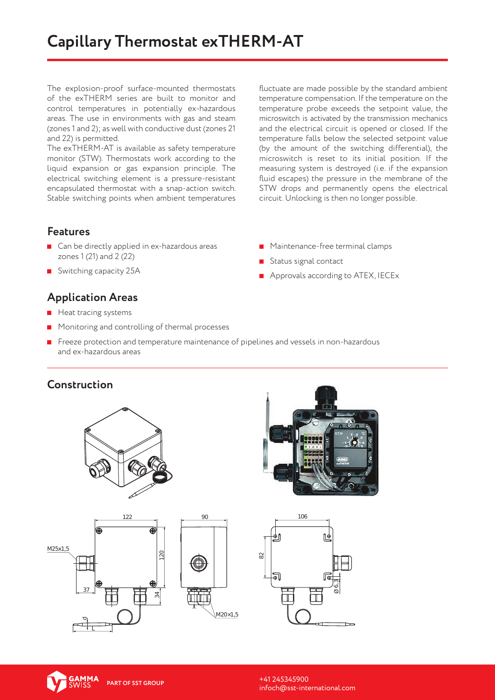The explosion-proof surface-mounted thermostats of the exTHERM series are built to monitor and control temperatures in potentially ex-hazardous areas. The use in environments with gas and steam (zones 1 and 2); as well with conductive dust (zones 21 and 22) is permitted.

The exTHERM-AT is available as safety temperature monitor (STW). Thermostats work according to the liquid expansion or gas expansion principle. The electrical switching element is a pressure-resistant encapsulated thermostat with a snap-action switch. Stable switching points when ambient temperatures fluctuate are made possible by the standard ambient temperature compensation. If the temperature on the temperature probe exceeds the setpoint value, the microswitch is activated by the transmission mechanics and the electrical circuit is opened or closed. If the temperature falls below the selected setpoint value (by the amount of the switching differential), the microswitch is reset to its initial position. If the measuring system is destroyed (i.e. if the expansion fluid escapes) the pressure in the membrane of the STW drops and permanently opens the electrical circuit. Unlocking is then no longer possible.

#### **Features**

- Can be directly applied in ex-hazardous areas zones 1 (21) and 2 (22)
- Switching capacity 25A

# **Application Areas** 122

- $\blacksquare$  Heat tracing systems
- $\blacksquare$  Monitoring and controlling of thermal processes

7

**F** Freeze protection and temperature maintenance of pipelines and vessels in non-hazardous and ex-hazardous areas

### **Construction**





**Maintenance-free terminal clamps** 

**Approvals according to ATEX, IECEX** 

Status signal contact